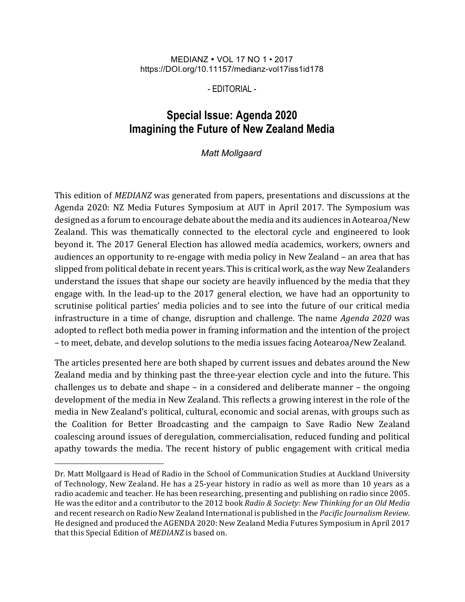## MEDIANZ • VOL 17 NO 1 • 2017 https://DOI.org/10.11157/medianz-vol17iss1id178

- EDITORIAL -

## **Special Issue: Agenda 2020 Imagining the Future of New Zealand Media**

*Matt Mollgaard*

This edition of *MEDIANZ* was generated from papers, presentations and discussions at the Agenda 2020: NZ Media Futures Symposium at AUT in April 2017. The Symposium was designed as a forum to encourage debate about the media and its audiences in Aotearoa/New Zealand. This was thematically connected to the electoral cycle and engineered to look beyond it. The 2017 General Election has allowed media academics, workers, owners and audiences an opportunity to re-engage with media policy in New Zealand – an area that has slipped from political debate in recent years. This is critical work, as the way New Zealanders understand the issues that shape our society are heavily influenced by the media that they engage with. In the lead-up to the 2017 general election, we have had an opportunity to scrutinise political parties' media policies and to see into the future of our critical media infrastructure in a time of change, disruption and challenge. The name *Agenda 2020* was adopted to reflect both media power in framing information and the intention of the project – to meet, debate, and develop solutions to the media issues facing Aotearoa/New Zealand.

The articles presented here are both shaped by current issues and debates around the New Zealand media and by thinking past the three-year election cycle and into the future. This challenges us to debate and shape  $-$  in a considered and deliberate manner  $-$  the ongoing development of the media in New Zealand. This reflects a growing interest in the role of the media in New Zealand's political, cultural, economic and social arenas, with groups such as the Coalition for Better Broadcasting and the campaign to Save Radio New Zealand coalescing around issues of deregulation, commercialisation, reduced funding and political apathy towards the media. The recent history of public engagement with critical media

I

Dr. Matt Mollgaard is Head of Radio in the School of Communication Studies at Auckland University of Technology, New Zealand. He has a 25-year history in radio as well as more than 10 years as a radio academic and teacher. He has been researching, presenting and publishing on radio since 2005. He was the editor and a contributor to the 2012 book *Radio & Society:* New Thinking for an Old Media and recent research on Radio New Zealand International is published in the *Pacific Journalism Review*. He designed and produced the AGENDA 2020: New Zealand Media Futures Symposium in April 2017 that this Special Edition of *MEDIANZ* is based on.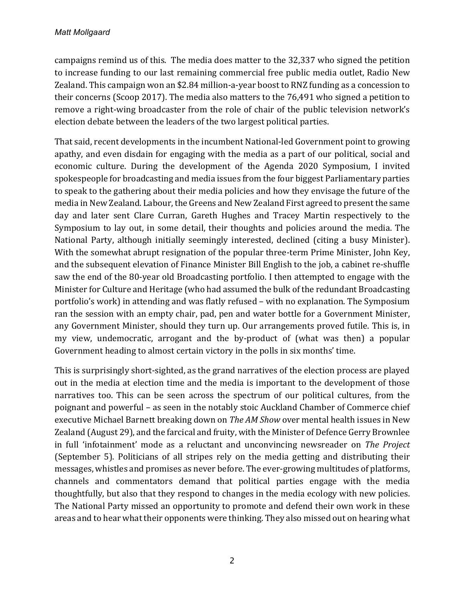campaigns remind us of this. The media does matter to the 32,337 who signed the petition to increase funding to our last remaining commercial free public media outlet, Radio New Zealand. This campaign won an \$2.84 million-a-year boost to RNZ funding as a concession to their concerns (Scoop 2017). The media also matters to the  $76,491$  who signed a petition to remove a right-wing broadcaster from the role of chair of the public television network's election debate between the leaders of the two largest political parties.

That said, recent developments in the incumbent National-led Government point to growing apathy, and even disdain for engaging with the media as a part of our political, social and economic culture. During the development of the Agenda 2020 Symposium, I invited spokespeople for broadcasting and media issues from the four biggest Parliamentary parties to speak to the gathering about their media policies and how they envisage the future of the media in New Zealand. Labour, the Greens and New Zealand First agreed to present the same day and later sent Clare Curran, Gareth Hughes and Tracey Martin respectively to the Symposium to lay out, in some detail, their thoughts and policies around the media. The National Party, although initially seemingly interested, declined (citing a busy Minister). With the somewhat abrupt resignation of the popular three-term Prime Minister, John Key, and the subsequent elevation of Finance Minister Bill English to the job, a cabinet re-shuffle saw the end of the 80-year old Broadcasting portfolio. I then attempted to engage with the Minister for Culture and Heritage (who had assumed the bulk of the redundant Broadcasting portfolio's work) in attending and was flatly refused - with no explanation. The Symposium ran the session with an empty chair, pad, pen and water bottle for a Government Minister, any Government Minister, should they turn up. Our arrangements proved futile. This is, in my view, undemocratic, arrogant and the by-product of (what was then) a popular Government heading to almost certain victory in the polls in six months' time.

This is surprisingly short-sighted, as the grand narratives of the election process are played out in the media at election time and the media is important to the development of those narratives too. This can be seen across the spectrum of our political cultures, from the poignant and powerful – as seen in the notably stoic Auckland Chamber of Commerce chief executive Michael Barnett breaking down on *The AM Show* over mental health issues in New Zealand (August 29), and the farcical and fruity, with the Minister of Defence Gerry Brownlee in full 'infotainment' mode as a reluctant and unconvincing newsreader on *The Project* (September 5). Politicians of all stripes rely on the media getting and distributing their messages, whistles and promises as never before. The ever-growing multitudes of platforms, channels and commentators demand that political parties engage with the media thoughtfully, but also that they respond to changes in the media ecology with new policies. The National Party missed an opportunity to promote and defend their own work in these areas and to hear what their opponents were thinking. They also missed out on hearing what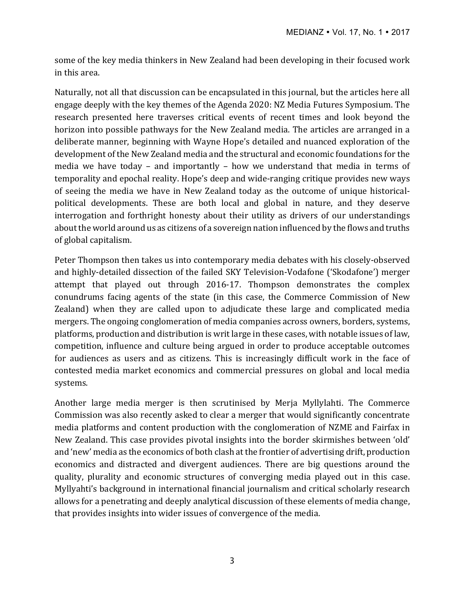some of the key media thinkers in New Zealand had been developing in their focused work in this area.

Naturally, not all that discussion can be encapsulated in this journal, but the articles here all engage deeply with the key themes of the Agenda 2020: NZ Media Futures Symposium. The research presented here traverses critical events of recent times and look beyond the horizon into possible pathways for the New Zealand media. The articles are arranged in a deliberate manner, beginning with Wayne Hope's detailed and nuanced exploration of the development of the New Zealand media and the structural and economic foundations for the media we have today – and importantly – how we understand that media in terms of temporality and epochal reality. Hope's deep and wide-ranging critique provides new ways of seeing the media we have in New Zealand today as the outcome of unique historicalpolitical developments. These are both local and global in nature, and they deserve interrogation and forthright honesty about their utility as drivers of our understandings about the world around us as citizens of a sovereign nation influenced by the flows and truths of global capitalism.

Peter Thompson then takes us into contemporary media debates with his closely-observed and highly-detailed dissection of the failed SKY Television-Vodafone ('Skodafone') merger attempt that played out through 2016-17. Thompson demonstrates the complex conundrums facing agents of the state (in this case, the Commerce Commission of New Zealand) when they are called upon to adjudicate these large and complicated media mergers. The ongoing conglomeration of media companies across owners, borders, systems, platforms, production and distribution is writ large in these cases, with notable issues of law, competition, influence and culture being argued in order to produce acceptable outcomes for audiences as users and as citizens. This is increasingly difficult work in the face of contested media market economics and commercial pressures on global and local media systems.

Another large media merger is then scrutinised by Merja Myllylahti. The Commerce Commission was also recently asked to clear a merger that would significantly concentrate media platforms and content production with the conglomeration of NZME and Fairfax in New Zealand. This case provides pivotal insights into the border skirmishes between 'old' and 'new' media as the economics of both clash at the frontier of advertising drift, production economics and distracted and divergent audiences. There are big questions around the quality, plurality and economic structures of converging media played out in this case. Myllyahti's background in international financial journalism and critical scholarly research allows for a penetrating and deeply analytical discussion of these elements of media change, that provides insights into wider issues of convergence of the media.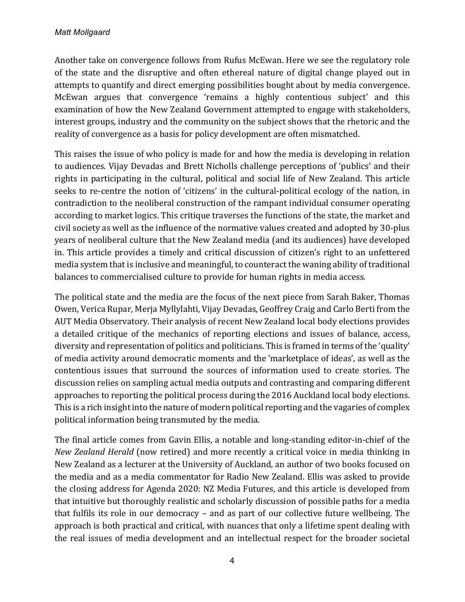Another take on convergence follows from Rufus McEwan. Here we see the regulatory role of the state and the disruptive and often ethereal nature of digital change played out in attempts to quantify and direct emerging possibilities bought about by media convergence. McEwan argues that convergence 'remains a highly contentious subject' and this examination of how the New Zealand Government attempted to engage with stakeholders, interest groups, industry and the community on the subject shows that the rhetoric and the reality of convergence as a basis for policy development are often mismatched.

This raises the issue of who policy is made for and how the media is developing in relation to audiences. Vijay Devadas and Brett Nicholls challenge perceptions of 'publics' and their rights in participating in the cultural, political and social life of New Zealand. This article seeks to re-centre the notion of 'citizens' in the cultural-political ecology of the nation, in contradiction to the neoliberal construction of the rampant individual consumer operating according to market logics. This critique traverses the functions of the state, the market and civil society as well as the influence of the normative values created and adopted by 30-plus years of neoliberal culture that the New Zealand media (and its audiences) have developed in. This article provides a timely and critical discussion of citizen's right to an unfettered media system that is inclusive and meaningful, to counteract the waning ability of traditional balances to commercialised culture to provide for human rights in media access.

The political state and the media are the focus of the next piece from Sarah Baker, Thomas Owen, Verica Rupar, Merja Myllylahti, Vijay Devadas, Geoffrey Craig and Carlo Berti from the AUT Media Observatory. Their analysis of recent New Zealand local body elections provides a detailed critique of the mechanics of reporting elections and issues of balance, access, diversity and representation of politics and politicians. This is framed in terms of the 'quality' of media activity around democratic moments and the 'marketplace of ideas', as well as the contentious issues that surround the sources of information used to create stories. The discussion relies on sampling actual media outputs and contrasting and comparing different approaches to reporting the political process during the 2016 Auckland local body elections. This is a rich insight into the nature of modern political reporting and the vagaries of complex political information being transmuted by the media.

The final article comes from Gavin Ellis, a notable and long-standing editor-in-chief of the *New Zealand Herald* (now retired) and more recently a critical voice in media thinking in New Zealand as a lecturer at the University of Auckland, an author of two books focused on the media and as a media commentator for Radio New Zealand. Ellis was asked to provide the closing address for Agenda 2020: NZ Media Futures, and this article is developed from that intuitive but thoroughly realistic and scholarly discussion of possible paths for a media that fulfils its role in our democracy – and as part of our collective future wellbeing. The approach is both practical and critical, with nuances that only a lifetime spent dealing with the real issues of media development and an intellectual respect for the broader societal